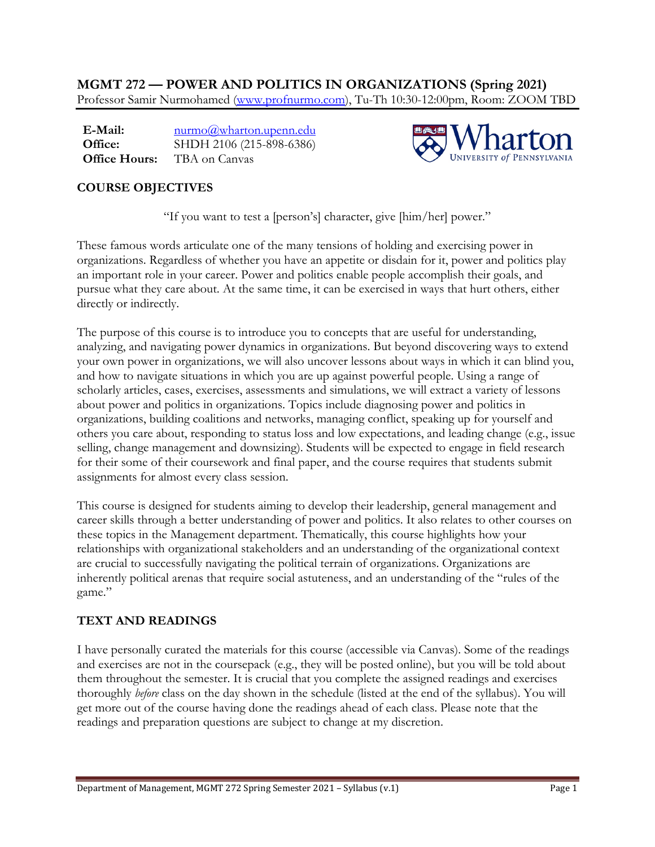**MGMT 272 — POWER AND POLITICS IN ORGANIZATIONS (Spring 2021)**  Professor Samir Nurmohamed (www.profnurmo.com), Tu-Th 10:30-12:00pm, Room: ZOOM TBD

**E-Mail: Office: Office Hours:**  nurmo@wharton.upenn.edu SHDH 2106 (215-898-6386) TBA on Canvas



# **COURSE OBJECTIVES**

"If you want to test a [person's] character, give [him/her] power."

These famous words articulate one of the many tensions of holding and exercising power in organizations. Regardless of whether you have an appetite or disdain for it, power and politics play an important role in your career. Power and politics enable people accomplish their goals, and pursue what they care about. At the same time, it can be exercised in ways that hurt others, either directly or indirectly.

The purpose of this course is to introduce you to concepts that are useful for understanding, analyzing, and navigating power dynamics in organizations. But beyond discovering ways to extend your own power in organizations, we will also uncover lessons about ways in which it can blind you, and how to navigate situations in which you are up against powerful people. Using a range of scholarly articles, cases, exercises, assessments and simulations, we will extract a variety of lessons about power and politics in organizations. Topics include diagnosing power and politics in organizations, building coalitions and networks, managing conflict, speaking up for yourself and others you care about, responding to status loss and low expectations, and leading change (e.g., issue selling, change management and downsizing). Students will be expected to engage in field research for their some of their coursework and final paper, and the course requires that students submit assignments for almost every class session.

This course is designed for students aiming to develop their leadership, general management and career skills through a better understanding of power and politics. It also relates to other courses on these topics in the Management department. Thematically, this course highlights how your relationships with organizational stakeholders and an understanding of the organizational context are crucial to successfully navigating the political terrain of organizations. Organizations are inherently political arenas that require social astuteness, and an understanding of the "rules of the game."

# **TEXT AND READINGS**

I have personally curated the materials for this course (accessible via Canvas). Some of the readings and exercises are not in the coursepack (e.g., they will be posted online), but you will be told about them throughout the semester. It is crucial that you complete the assigned readings and exercises thoroughly *before* class on the day shown in the schedule (listed at the end of the syllabus). You will get more out of the course having done the readings ahead of each class. Please note that the readings and preparation questions are subject to change at my discretion.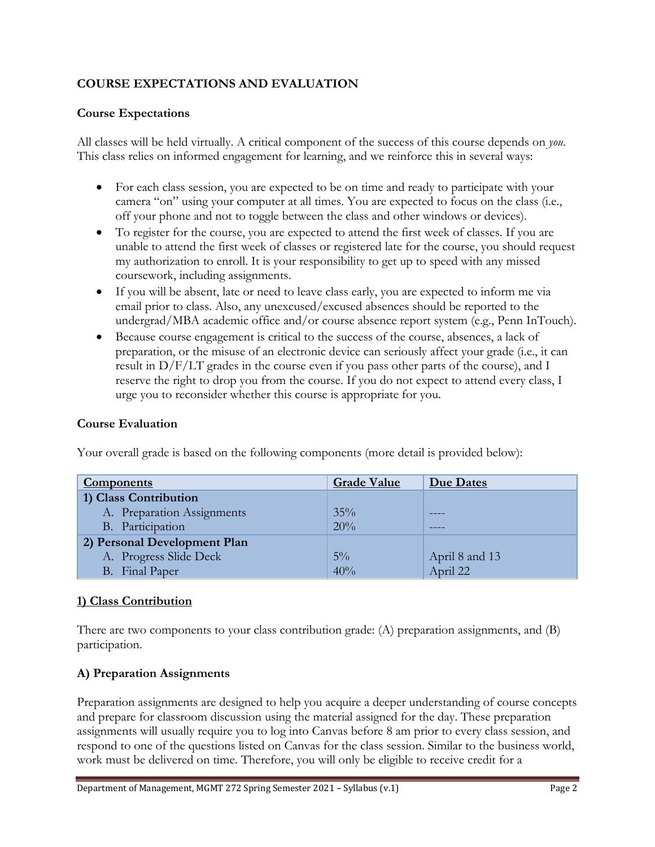## **COURSE EXPECTATIONS AND EVALUATION**

### **Course Expectations**

All classes will be held virtually. A critical component of the success of this course depends on *you*. This class relies on informed engagement for learning, and we reinforce this in several ways:

- For each class session, you are expected to be on time and ready to participate with your camera "on" using your computer at all times. You are expected to focus on the class (i.e., off your phone and not to toggle between the class and other windows or devices).
- To register for the course, you are expected to attend the first week of classes. If you are unable to attend the first week of classes or registered late for the course, you should request my authorization to enroll. It is your responsibility to get up to speed with any missed coursework, including assignments.
- If you will be absent, late or need to leave class early, you are expected to inform me via email prior to class. Also, any unexcused/excused absences should be reported to the undergrad/MBA academic office and/or course absence report system (e.g., Penn InTouch).
- Because course engagement is critical to the success of the course, absences, a lack of preparation, or the misuse of an electronic device can seriously affect your grade (i.e., it can result in D/F/LT grades in the course even if you pass other parts of the course), and I reserve the right to drop you from the course. If you do not expect to attend every class, I urge you to reconsider whether this course is appropriate for you.

### **Course Evaluation**

| <b>Components</b>            | <b>Grade Value</b> | Due Dates      |
|------------------------------|--------------------|----------------|
| 1) Class Contribution        |                    |                |
| A. Preparation Assignments   | $35\%$             |                |
| B. Participation             | 20%                |                |
| 2) Personal Development Plan |                    |                |
| A. Progress Slide Deck       | $5\%$              | April 8 and 13 |
| B. Final Paper               | 40%                | April 22       |

Your overall grade is based on the following components (more detail is provided below):

#### **1) Class Contribution**

There are two components to your class contribution grade: (A) preparation assignments, and (B) participation.

## **A) Preparation Assignments**

Preparation assignments are designed to help you acquire a deeper understanding of course concepts and prepare for classroom discussion using the material assigned for the day. These preparation assignments will usually require you to log into Canvas before 8 am prior to every class session, and respond to one of the questions listed on Canvas for the class session. Similar to the business world, work must be delivered on time. Therefore, you will only be eligible to receive credit for a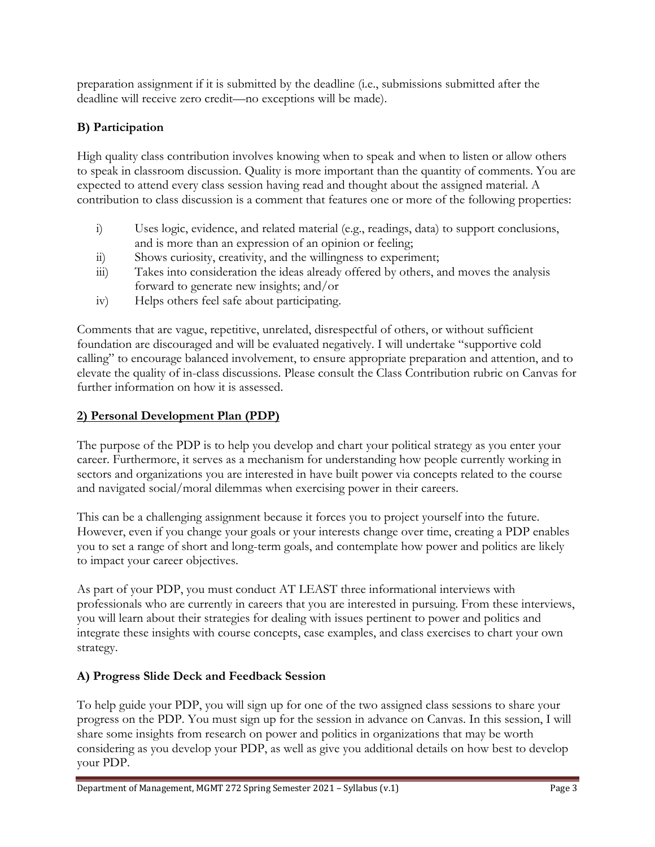preparation assignment if it is submitted by the deadline (i.e., submissions submitted after the deadline will receive zero credit—no exceptions will be made).

# **B) Participation**

High quality class contribution involves knowing when to speak and when to listen or allow others to speak in classroom discussion. Quality is more important than the quantity of comments. You are expected to attend every class session having read and thought about the assigned material. A contribution to class discussion is a comment that features one or more of the following properties:

- i) Uses logic, evidence, and related material (e.g., readings, data) to support conclusions, and is more than an expression of an opinion or feeling;
- ii) Shows curiosity, creativity, and the willingness to experiment;
- iii) Takes into consideration the ideas already offered by others, and moves the analysis forward to generate new insights; and/or
- iv) Helps others feel safe about participating.

Comments that are vague, repetitive, unrelated, disrespectful of others, or without sufficient foundation are discouraged and will be evaluated negatively. I will undertake "supportive cold calling" to encourage balanced involvement, to ensure appropriate preparation and attention, and to elevate the quality of in-class discussions. Please consult the Class Contribution rubric on Canvas for further information on how it is assessed.

## **2) Personal Development Plan (PDP)**

The purpose of the PDP is to help you develop and chart your political strategy as you enter your career. Furthermore, it serves as a mechanism for understanding how people currently working in sectors and organizations you are interested in have built power via concepts related to the course and navigated social/moral dilemmas when exercising power in their careers.

This can be a challenging assignment because it forces you to project yourself into the future. However, even if you change your goals or your interests change over time, creating a PDP enables you to set a range of short and long-term goals, and contemplate how power and politics are likely to impact your career objectives.

As part of your PDP, you must conduct AT LEAST three informational interviews with professionals who are currently in careers that you are interested in pursuing. From these interviews, you will learn about their strategies for dealing with issues pertinent to power and politics and integrate these insights with course concepts, case examples, and class exercises to chart your own strategy.

## **A) Progress Slide Deck and Feedback Session**

To help guide your PDP, you will sign up for one of the two assigned class sessions to share your progress on the PDP. You must sign up for the session in advance on Canvas. In this session, I will share some insights from research on power and politics in organizations that may be worth considering as you develop your PDP, as well as give you additional details on how best to develop your PDP.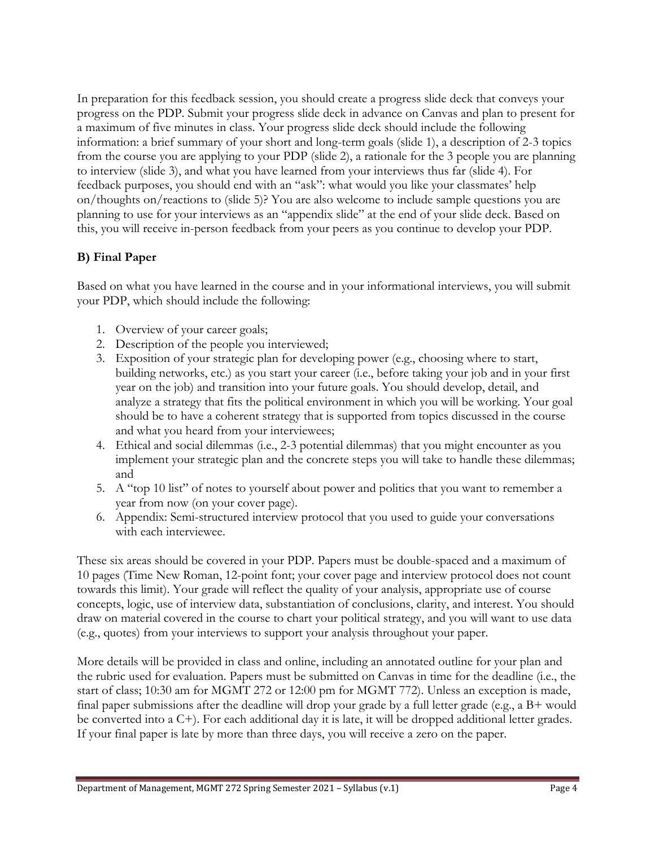In preparation for this feedback session, you should create a progress slide deck that conveys your progress on the PDP. Submit your progress slide deck in advance on Canvas and plan to present for a maximum of five minutes in class. Your progress slide deck should include the following information: a brief summary of your short and long-term goals (slide 1), a description of 2-3 topics from the course you are applying to your PDP (slide 2), a rationale for the 3 people you are planning to interview (slide 3), and what you have learned from your interviews thus far (slide 4). For feedback purposes, you should end with an "ask": what would you like your classmates' help on/thoughts on/reactions to (slide 5)? You are also welcome to include sample questions you are planning to use for your interviews as an "appendix slide" at the end of your slide deck. Based on this, you will receive in-person feedback from your peers as you continue to develop your PDP.

## **B) Final Paper**

Based on what you have learned in the course and in your informational interviews, you will submit your PDP, which should include the following:

- 1. Overview of your career goals;
- 2. Description of the people you interviewed;
- 3. Exposition of your strategic plan for developing power (e.g., choosing where to start, building networks, etc.) as you start your career (i.e., before taking your job and in your first year on the job) and transition into your future goals. You should develop, detail, and analyze a strategy that fits the political environment in which you will be working. Your goal should be to have a coherent strategy that is supported from topics discussed in the course and what you heard from your interviewees;
- 4. Ethical and social dilemmas (i.e., 2-3 potential dilemmas) that you might encounter as you implement your strategic plan and the concrete steps you will take to handle these dilemmas; and
- 5. A "top 10 list" of notes to yourself about power and politics that you want to remember a year from now (on your cover page).
- 6. Appendix: Semi-structured interview protocol that you used to guide your conversations with each interviewee.

These six areas should be covered in your PDP. Papers must be double-spaced and a maximum of 10 pages (Time New Roman, 12-point font; your cover page and interview protocol does not count towards this limit). Your grade will reflect the quality of your analysis, appropriate use of course concepts, logic, use of interview data, substantiation of conclusions, clarity, and interest. You should draw on material covered in the course to chart your political strategy, and you will want to use data (e.g., quotes) from your interviews to support your analysis throughout your paper.

More details will be provided in class and online, including an annotated outline for your plan and the rubric used for evaluation. Papers must be submitted on Canvas in time for the deadline (i.e., the start of class; 10:30 am for MGMT 272 or 12:00 pm for MGMT 772). Unless an exception is made, final paper submissions after the deadline will drop your grade by a full letter grade (e.g., a B+ would be converted into a C+). For each additional day it is late, it will be dropped additional letter grades. If your final paper is late by more than three days, you will receive a zero on the paper.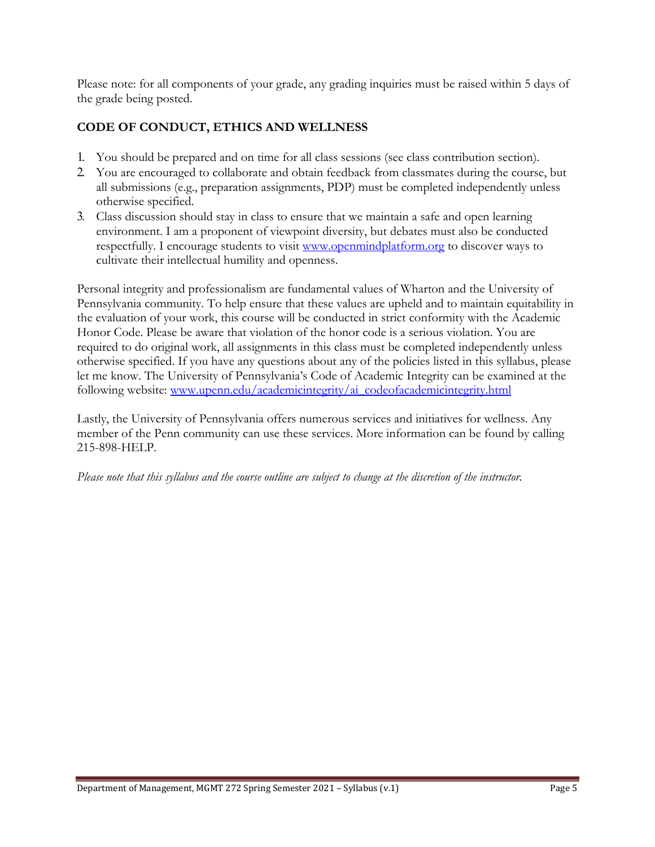Please note: for all components of your grade, any grading inquiries must be raised within 5 days of the grade being posted.

## **CODE OF CONDUCT, ETHICS AND WELLNESS**

- 1. You should be prepared and on time for all class sessions (see class contribution section).
- 2. You are encouraged to collaborate and obtain feedback from classmates during the course, but all submissions (e.g., preparation assignments, PDP) must be completed independently unless otherwise specified.
- 3. Class discussion should stay in class to ensure that we maintain a safe and open learning environment. I am a proponent of viewpoint diversity, but debates must also be conducted respectfully. I encourage students to visit www.openmindplatform.org to discover ways to cultivate their intellectual humility and openness.

Personal integrity and professionalism are fundamental values of Wharton and the University of Pennsylvania community. To help ensure that these values are upheld and to maintain equitability in the evaluation of your work, this course will be conducted in strict conformity with the Academic Honor Code. Please be aware that violation of the honor code is a serious violation. You are required to do original work, all assignments in this class must be completed independently unless otherwise specified. If you have any questions about any of the policies listed in this syllabus, please let me know. The University of Pennsylvania's Code of Academic Integrity can be examined at the following website: www.upenn.edu/academicintegrity/ai\_codeofacademicintegrity.html

Lastly, the University of Pennsylvania offers numerous services and initiatives for wellness. Any member of the Penn community can use these services. More information can be found by calling 215-898-HELP.

*Please note that this syllabus and the course outline are subject to change at the discretion of the instructor.*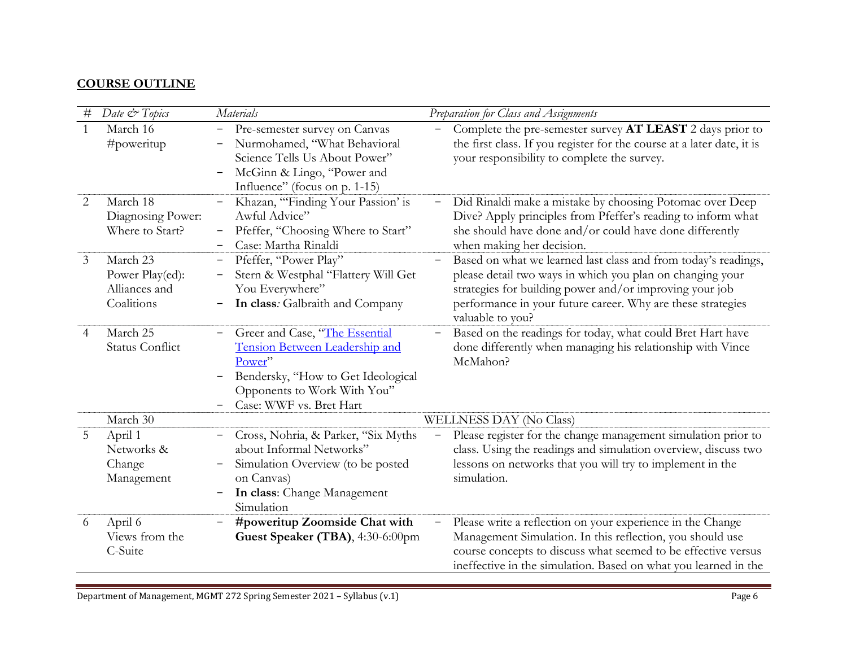### **COURSE OUTLINE**

| $\#$           | Date & Topics                                              | <b>Materials</b>                                                                                                                                                                   | Preparation for Class and Assignments                                                                                                                                                                                                                                     |  |
|----------------|------------------------------------------------------------|------------------------------------------------------------------------------------------------------------------------------------------------------------------------------------|---------------------------------------------------------------------------------------------------------------------------------------------------------------------------------------------------------------------------------------------------------------------------|--|
| 1              | March 16<br>#poweritup                                     | Pre-semester survey on Canvas<br>$\qquad \qquad -$<br>Nurmohamed, "What Behavioral<br>Science Tells Us About Power"<br>McGinn & Lingo, "Power and<br>Influence" (focus on p. 1-15) | Complete the pre-semester survey AT LEAST 2 days prior to<br>the first class. If you register for the course at a later date, it is<br>your responsibility to complete the survey.                                                                                        |  |
| 2              | March 18<br>Diagnosing Power:<br>Where to Start?           | Khazan, "Finding Your Passion' is<br>$\qquad \qquad \blacksquare$<br>Awful Advice"<br>Pfeffer, "Choosing Where to Start"<br>$\qquad \qquad \blacksquare$<br>Case: Martha Rinaldi   | Did Rinaldi make a mistake by choosing Potomac over Deep<br>Dive? Apply principles from Pfeffer's reading to inform what<br>she should have done and/or could have done differently<br>when making her decision.                                                          |  |
| $\mathfrak{Z}$ | March 23<br>Power Play(ed):<br>Alliances and<br>Coalitions | Pfeffer, "Power Play"<br>Stern & Westphal "Flattery Will Get<br>You Everywhere"<br>In class: Galbraith and Company                                                                 | Based on what we learned last class and from today's readings,<br>please detail two ways in which you plan on changing your<br>strategies for building power and/or improving your job<br>performance in your future career. Why are these strategies<br>valuable to you? |  |
| 4              | March 25<br><b>Status Conflict</b>                         | Greer and Case, "The Essential<br>Tension Between Leadership and<br>Power"<br>Bendersky, "How to Get Ideological<br>Opponents to Work With You"<br>Case: WWF vs. Bret Hart         | Based on the readings for today, what could Bret Hart have<br>done differently when managing his relationship with Vince<br>McMahon?                                                                                                                                      |  |
|                | March 30                                                   |                                                                                                                                                                                    | WELLNESS DAY (No Class)                                                                                                                                                                                                                                                   |  |
| 5              | April 1<br>Networks &<br>Change<br>Management              | Cross, Nohria, & Parker, "Six Myths<br>about Informal Networks"<br>Simulation Overview (to be posted<br>on Canvas)<br>In class: Change Management<br>Simulation                    | Please register for the change management simulation prior to<br>class. Using the readings and simulation overview, discuss two<br>lessons on networks that you will try to implement in the<br>simulation.                                                               |  |
| 6              | April 6<br>Views from the<br>C-Suite                       | #poweritup Zoomside Chat with<br>Guest Speaker (TBA), 4:30-6:00pm                                                                                                                  | Please write a reflection on your experience in the Change<br>$\equiv$<br>Management Simulation. In this reflection, you should use<br>course concepts to discuss what seemed to be effective versus<br>ineffective in the simulation. Based on what you learned in the   |  |